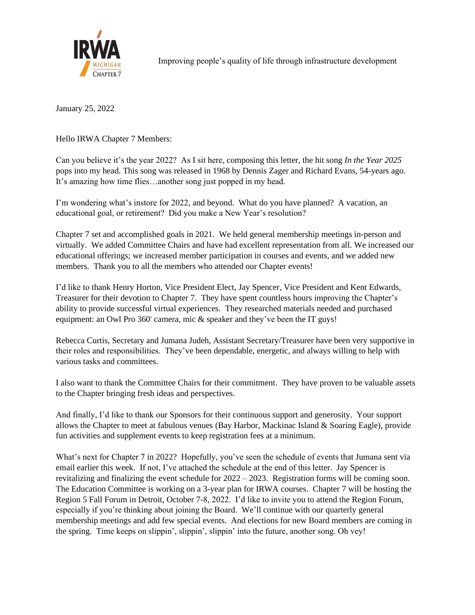

Improving people's quality of life through infrastructure development

January 25, 2022

Hello IRWA Chapter 7 Members:

Can you believe it's the year 2022? As I sit here, composing this letter, the hit song *In the Year 2025* pops into my head. This song was released in 1968 by Dennis Zager and Richard Evans, 54-years ago. It's amazing how time flies…another song just popped in my head.

I'm wondering what's instore for 2022, and beyond. What do you have planned? A vacation, an educational goal, or retirement? Did you make a New Year's resolution?

Chapter 7 set and accomplished goals in 2021. We held general membership meetings in-person and virtually. We added Committee Chairs and have had excellent representation from all. We increased our educational offerings; we increased member participation in courses and events, and we added new members. Thank you to all the members who attended our Chapter events!

I'd like to thank Henry Horton, Vice President Elect, Jay Spencer, Vice President and Kent Edwards, Treasurer for their devotion to Chapter 7. They have spent countless hours improving the Chapter's ability to provide successful virtual experiences. They researched materials needed and purchased equipment: an Owl Pro  $360^\circ$  camera, mic  $\&$  speaker and they've been the IT guys!

Rebecca Curtis, Secretary and Jumana Judeh, Assistant Secretary/Treasurer have been very supportive in their roles and responsibilities. They've been dependable, energetic, and always willing to help with various tasks and committees.

I also want to thank the Committee Chairs for their commitment. They have proven to be valuable assets to the Chapter bringing fresh ideas and perspectives.

And finally, I'd like to thank our Sponsors for their continuous support and generosity. Your support allows the Chapter to meet at fabulous venues (Bay Harbor, Mackinac Island & Soaring Eagle), provide fun activities and supplement events to keep registration fees at a minimum.

What's next for Chapter 7 in 2022? Hopefully, you've seen the schedule of events that Jumana sent via email earlier this week. If not, I've attached the schedule at the end of this letter. Jay Spencer is revitalizing and finalizing the event schedule for 2022 – 2023. Registration forms will be coming soon. The Education Committee is working on a 3-year plan for IRWA courses. Chapter 7 will be hosting the Region 5 Fall Forum in Detroit, October 7-8, 2022. I'd like to invite you to attend the Region Forum, especially if you're thinking about joining the Board. We'll continue with our quarterly general membership meetings and add few special events. And elections for new Board members are coming in the spring. Time keeps on slippin', slippin', slippin' into the future, another song. Oh vey!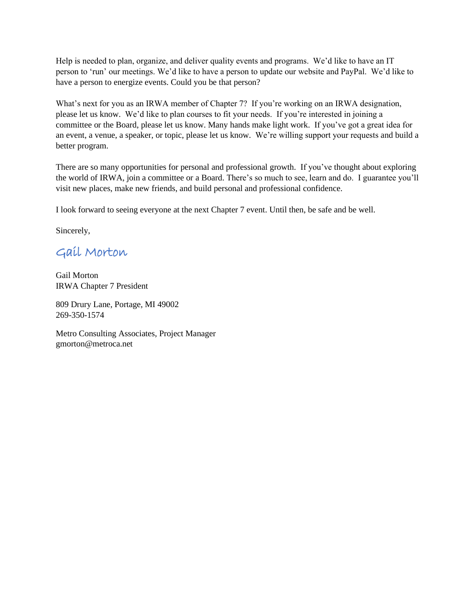Help is needed to plan, organize, and deliver quality events and programs. We'd like to have an IT person to 'run' our meetings. We'd like to have a person to update our website and PayPal. We'd like to have a person to energize events. Could you be that person?

What's next for you as an IRWA member of Chapter 7? If you're working on an IRWA designation, please let us know. We'd like to plan courses to fit your needs. If you're interested in joining a committee or the Board, please let us know. Many hands make light work. If you've got a great idea for an event, a venue, a speaker, or topic, please let us know. We're willing support your requests and build a better program.

There are so many opportunities for personal and professional growth. If you've thought about exploring the world of IRWA, join a committee or a Board. There's so much to see, learn and do. I guarantee you'll visit new places, make new friends, and build personal and professional confidence.

I look forward to seeing everyone at the next Chapter 7 event. Until then, be safe and be well.

Sincerely,

Gail Morton

Gail Morton IRWA Chapter 7 President

809 Drury Lane, Portage, MI 49002 269-350-1574

Metro Consulting Associates, Project Manager [gmorton@metroca.net](mailto:gmorton@metroca.net)